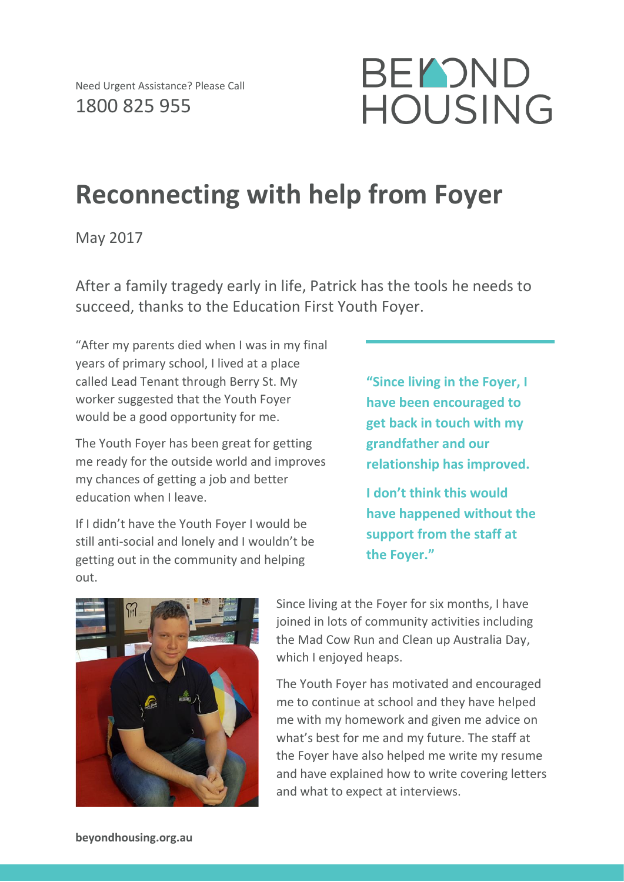

## **Reconnecting with help from Foyer**

May 2017

After a family tragedy early in life, Patrick has the tools he needs to succeed, thanks to the Education First Youth Foyer.

"After my parents died when I was in my final years of primary school, I lived at a place called Lead Tenant through Berry St. My worker suggested that the Youth Foyer would be a good opportunity for me.

The Youth Foyer has been great for getting me ready for the outside world and improves my chances of getting a job and better education when I leave.

If I didn't have the Youth Foyer I would be still anti-social and lonely and I wouldn't be getting out in the community and helping out.

**"Since living in the Foyer, I have been encouraged to get back in touch with my grandfather and our relationship has improved.**

**I don't think this would have happened without the support from the staff at the Foyer."**



Since living at the Foyer for six months, I have joined in lots of community activities including the Mad Cow Run and Clean up Australia Day, which I enjoyed heaps.

The Youth Foyer has motivated and encouraged me to continue at school and they have helped me with my homework and given me advice on what's best for me and my future. The staff at the Foyer have also helped me write my resume and have explained how to write covering letters and what to expect at interviews.